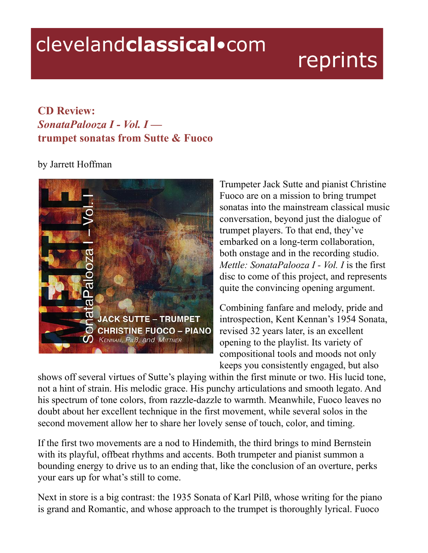## clevelandclassical.com

## reprints

## **CD Review:** *SonataPalooza I - Vol. I*  **trumpet sonatas from Sutte & Fuoco**

## by Jarrett Hoffman



Trumpeter Jack Sutte and pianist Christine Fuoco are on a mission to bring trumpet sonatas into the mainstream classical music conversation, beyond just the dialogue of trumpet players. To that end, they've embarked on a long-term collaboration, both onstage and in the recording studio. *Mettle: SonataPalooza I - Vol. I* is the first disc to come of this project, and represents quite the convincing opening argument.

Combining fanfare and melody, pride and introspection, Kent Kennan's 1954 Sonata, revised 32 years later, is an excellent opening to the playlist. Its variety of compositional tools and moods not only keeps you consistently engaged, but also

shows off several virtues of Sutte's playing within the first minute or two. His lucid tone, not a hint of strain. His melodic grace. His punchy articulations and smooth legato. And his spectrum of tone colors, from razzle-dazzle to warmth. Meanwhile, Fuoco leaves no doubt about her excellent technique in the first movement, while several solos in the second movement allow her to share her lovely sense of touch, color, and timing.

If the first two movements are a nod to Hindemith, the third brings to mind Bernstein with its playful, offbeat rhythms and accents. Both trumpeter and pianist summon a bounding energy to drive us to an ending that, like the conclusion of an overture, perks your ears up for what's still to come.

Next in store is a big contrast: the 1935 Sonata of Karl Pilß, whose writing for the piano is grand and Romantic, and whose approach to the trumpet is thoroughly lyrical. Fuoco